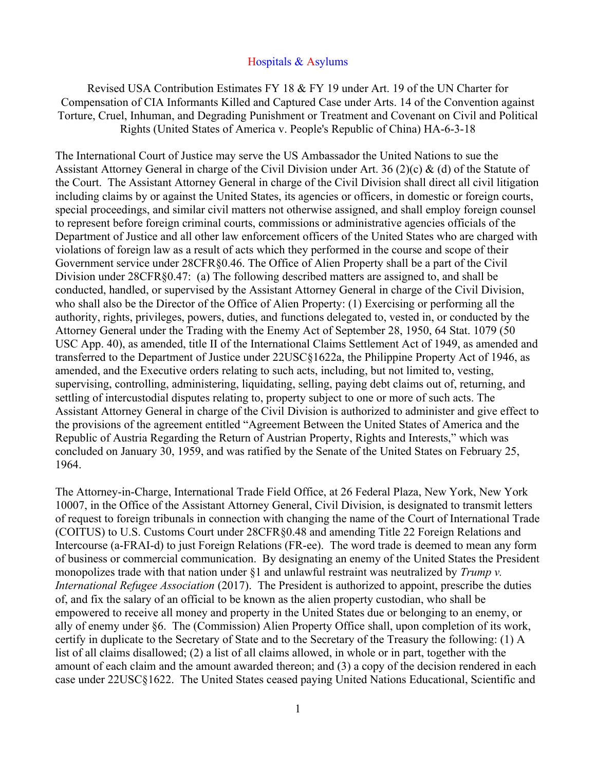## Hospitals & Asylums

Revised USA Contribution Estimates FY 18 & FY 19 under Art. 19 of the UN Charter for Compensation of CIA Informants Killed and Captured Case under Arts. 14 of the Convention against Torture, Cruel, Inhuman, and Degrading Punishment or Treatment and Covenant on Civil and Political Rights (United States of America v. People's Republic of China) HA-6-3-18

The International Court of Justice may serve the US Ambassador the United Nations to sue the Assistant Attorney General in charge of the Civil Division under Art. 36 (2)(c) & (d) of the Statute of the Court. The Assistant Attorney General in charge of the Civil Division shall direct all civil litigation including claims by or against the United States, its agencies or officers, in domestic or foreign courts, special proceedings, and similar civil matters not otherwise assigned, and shall employ foreign counsel to represent before foreign criminal courts, commissions or administrative agencies officials of the Department of Justice and all other law enforcement officers of the United States who are charged with violations of foreign law as a result of acts which they performed in the course and scope of their Government service under 28CFR§0.46. The Office of Alien Property shall be a part of the Civil Division under 28CFR§0.47: (a) The following described matters are assigned to, and shall be conducted, handled, or supervised by the Assistant Attorney General in charge of the Civil Division, who shall also be the Director of the Office of Alien Property: (1) Exercising or performing all the authority, rights, privileges, powers, duties, and functions delegated to, vested in, or conducted by the Attorney General under the Trading with the Enemy Act of September 28, 1950, 64 Stat. 1079 (50 USC App. 40), as amended, title II of the International Claims Settlement Act of 1949, as amended and transferred to the Department of Justice under 22USC§1622a, the Philippine Property Act of 1946, as amended, and the Executive orders relating to such acts, including, but not limited to, vesting, supervising, controlling, administering, liquidating, selling, paying debt claims out of, returning, and settling of intercustodial disputes relating to, property subject to one or more of such acts. The Assistant Attorney General in charge of the Civil Division is authorized to administer and give effect to the provisions of the agreement entitled "Agreement Between the United States of America and the Republic of Austria Regarding the Return of Austrian Property, Rights and Interests," which was concluded on January 30, 1959, and was ratified by the Senate of the United States on February 25, 1964.

The Attorney-in-Charge, International Trade Field Office, at 26 Federal Plaza, New York, New York 10007, in the Office of the Assistant Attorney General, Civil Division, is designated to transmit letters of request to foreign tribunals in connection with changing the name of the Court of International Trade (COITUS) to U.S. Customs Court under 28CFR§0.48 and amending Title 22 Foreign Relations and Intercourse (a-FRAI-d) to just Foreign Relations (FR-ee). The word trade is deemed to mean any form of business or commercial communication. By designating an enemy of the United States the President monopolizes trade with that nation under §1 and unlawful restraint was neutralized by *Trump v. International Refugee Association* (2017). The President is authorized to appoint, prescribe the duties of, and fix the salary of an official to be known as the alien property custodian, who shall be empowered to receive all money and property in the United States due or belonging to an enemy, or ally of enemy under §6. The (Commission) Alien Property Office shall, upon completion of its work, certify in duplicate to the Secretary of State and to the Secretary of the Treasury the following: (1) A list of all claims disallowed; (2) a list of all claims allowed, in whole or in part, together with the amount of each claim and the amount awarded thereon; and (3) a copy of the decision rendered in each case under 22USC§1622. The United States ceased paying United Nations Educational, Scientific and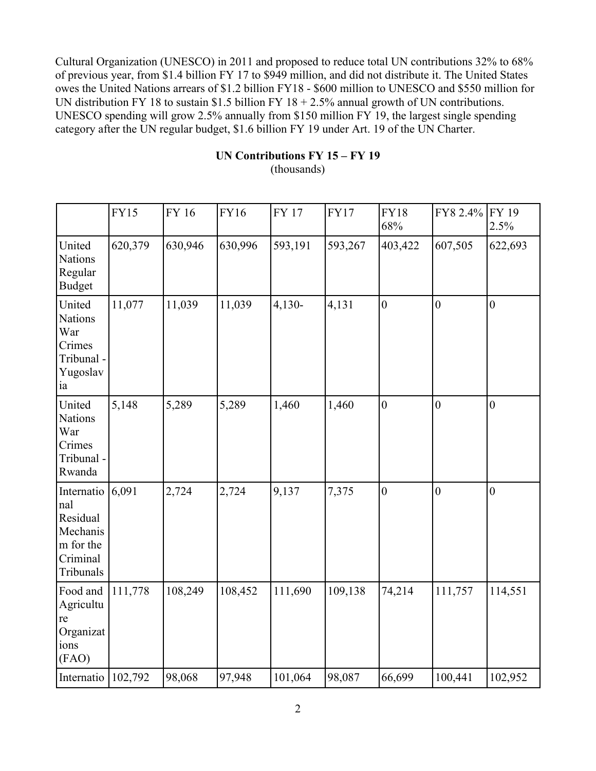Cultural Organization (UNESCO) in 2011 and proposed to reduce total UN contributions 32% to 68% of previous year, from \$1.4 billion FY 17 to \$949 million, and did not distribute it. The United States owes the United Nations arrears of \$1.2 billion FY18 - \$600 million to UNESCO and \$550 million for UN distribution FY 18 to sustain \$1.5 billion FY  $18 + 2.5\%$  annual growth of UN contributions. UNESCO spending will grow 2.5% annually from \$150 million FY 19, the largest single spending category after the UN regular budget, \$1.6 billion FY 19 under Art. 19 of the UN Charter.

## **UN Contributions FY 15 – FY 19**

(thousands)

|                                                                                 | <b>FY15</b> | FY 16   | <b>FY16</b> | <b>FY 17</b> | <b>FY17</b> | <b>FY18</b><br>68% | FY8 2.4%       | FY 19<br>2.5%  |
|---------------------------------------------------------------------------------|-------------|---------|-------------|--------------|-------------|--------------------|----------------|----------------|
| United<br><b>Nations</b><br>Regular<br><b>Budget</b>                            | 620,379     | 630,946 | 630,996     | 593,191      | 593,267     | 403,422            | 607,505        | 622,693        |
| United<br><b>Nations</b><br>War<br>Crimes<br>Tribunal-<br>Yugoslav<br>ia        | 11,077      | 11,039  | 11,039      | $4,130-$     | 4,131       | $\mathbf{0}$       | $\overline{0}$ | $\overline{0}$ |
| United<br><b>Nations</b><br>War<br>Crimes<br>Tribunal -<br>Rwanda               | 5,148       | 5,289   | 5,289       | 1,460        | 1,460       | $\overline{0}$     | $\overline{0}$ | $\overline{0}$ |
| Internatio<br>nal<br>Residual<br>Mechanis<br>m for the<br>Criminal<br>Tribunals | 6,091       | 2,724   | 2,724       | 9,137        | 7,375       | $\mathbf{0}$       | $\overline{0}$ | $\overline{0}$ |
| Food and<br>Agricultu<br>re<br>Organizat<br>ions<br>(FAO)                       | 111,778     | 108,249 | 108,452     | 111,690      | 109,138     | 74,214             | 111,757        | 114,551        |
| Internatio                                                                      | 102,792     | 98,068  | 97,948      | 101,064      | 98,087      | 66,699             | 100,441        | 102,952        |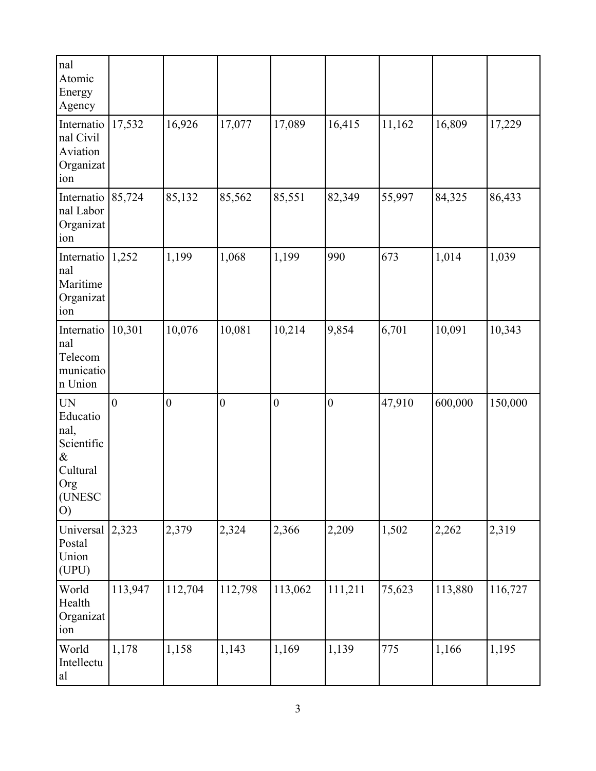| nal<br>Atomic<br>Energy<br>Agency                                                  |              |                  |                  |                  |                  |        |         |         |
|------------------------------------------------------------------------------------|--------------|------------------|------------------|------------------|------------------|--------|---------|---------|
| Internatio<br>nal Civil<br>Aviation<br>Organizat<br>ion                            | 17,532       | 16,926           | 17,077           | 17,089           | 16,415           | 11,162 | 16,809  | 17,229  |
| Internatio<br>nal Labor<br>Organizat<br>ion                                        | 85,724       | 85,132           | 85,562           | 85,551           | 82,349           | 55,997 | 84,325  | 86,433  |
| Internatio<br>nal<br>Maritime<br>Organizat<br>ion                                  | 1,252        | 1,199            | 1,068            | 1,199            | 990              | 673    | 1,014   | 1,039   |
| Internatio<br>nal<br>Telecom<br>municatio<br>n Union                               | 10,301       | 10,076           | 10,081           | 10,214           | 9,854            | 6,701  | 10,091  | 10,343  |
| <b>UN</b><br>Educatio<br>nal,<br>Scientific<br>&<br>Cultural<br>Org<br>(UNESC<br>O | $\mathbf{0}$ | $\boldsymbol{0}$ | $\boldsymbol{0}$ | $\boldsymbol{0}$ | $\boldsymbol{0}$ | 47,910 | 600,000 | 150,000 |
| Universal<br>Postal<br>Union<br>(UPU)                                              | 2,323        | 2,379            | 2,324            | 2,366            | 2,209            | 1,502  | 2,262   | 2,319   |
| World<br>Health<br>Organizat<br>ion                                                | 113,947      | 112,704          | 112,798          | 113,062          | 111,211          | 75,623 | 113,880 | 116,727 |
| World<br>Intellectu<br>al                                                          | 1,178        | 1,158            | 1,143            | 1,169            | 1,139            | 775    | 1,166   | 1,195   |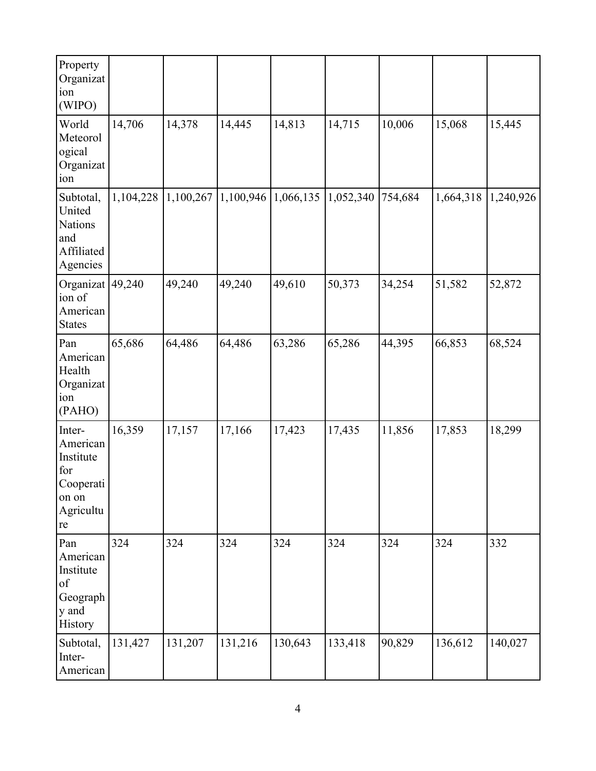| Property<br>Organizat<br>ion<br>(WIPO)                                          |           |           |           |           |           |         |           |           |
|---------------------------------------------------------------------------------|-----------|-----------|-----------|-----------|-----------|---------|-----------|-----------|
| World<br>Meteorol<br>ogical<br>Organizat<br>ion                                 | 14,706    | 14,378    | 14,445    | 14,813    | 14,715    | 10,006  | 15,068    | 15,445    |
| Subtotal,<br>United<br><b>Nations</b><br>and<br>Affiliated<br>Agencies          | 1,104,228 | 1,100,267 | 1,100,946 | 1,066,135 | 1,052,340 | 754,684 | 1,664,318 | 1,240,926 |
| Organizat<br>ion of<br>American<br><b>States</b>                                | 49,240    | 49,240    | 49,240    | 49,610    | 50,373    | 34,254  | 51,582    | 52,872    |
| Pan<br>American<br>Health<br>Organizat<br>ion<br>(PAHO)                         | 65,686    | 64,486    | 64,486    | 63,286    | 65,286    | 44,395  | 66,853    | 68,524    |
| Inter-<br>American<br>Institute<br>for<br>Cooperati<br>on on<br>Agricultu<br>re | 16,359    | 17,157    | 17,166    | 17,423    | 17,435    | 11,856  | 17,853    | 18,299    |
| Pan<br>American<br>Institute<br>of<br>Geograph<br>y and<br>History              | 324       | 324       | 324       | 324       | 324       | 324     | 324       | 332       |
| Subtotal,<br>Inter-<br>American                                                 | 131,427   | 131,207   | 131,216   | 130,643   | 133,418   | 90,829  | 136,612   | 140,027   |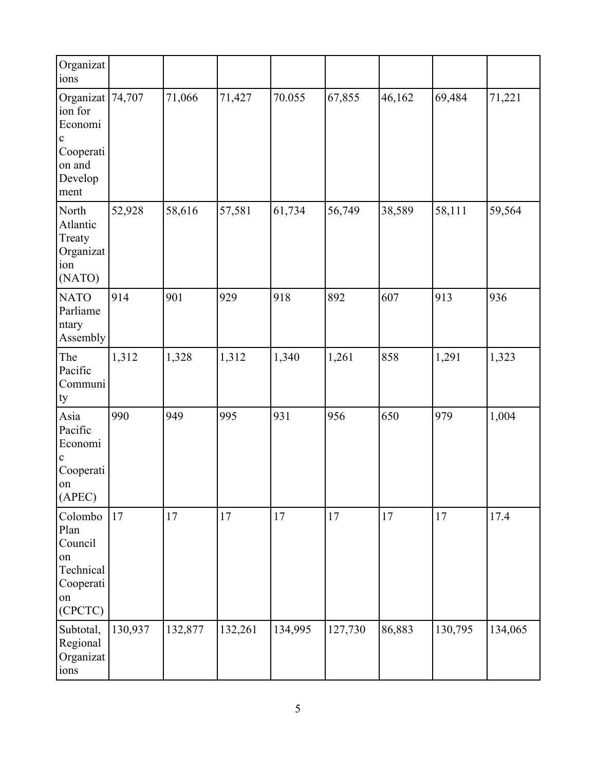| Organizat<br>ions                                                                               |         |         |         |         |         |        |         |         |
|-------------------------------------------------------------------------------------------------|---------|---------|---------|---------|---------|--------|---------|---------|
| Organizat 74,707<br>ion for<br>Economi<br>$\mathbf c$<br>Cooperati<br>on and<br>Develop<br>ment |         | 71,066  | 71,427  | 70.055  | 67,855  | 46,162 | 69,484  | 71,221  |
| North<br>Atlantic<br>Treaty<br>Organizat<br>ion<br>(NATO)                                       | 52,928  | 58,616  | 57,581  | 61,734  | 56,749  | 38,589 | 58,111  | 59,564  |
| <b>NATO</b><br>Parliame<br>ntary<br>Assembly                                                    | 914     | 901     | 929     | 918     | 892     | 607    | 913     | 936     |
| The<br>Pacific<br>Communi<br>ty                                                                 | 1,312   | 1,328   | 1,312   | 1,340   | 1,261   | 858    | 1,291   | 1,323   |
| Asia<br>Pacific<br>Economi<br>c<br>Cooperati<br>on<br>(APEC)                                    | 990     | 949     | 995     | 931     | 956     | 650    | 979     | 1,004   |
| Colombo<br>Plan<br>Council<br>on<br>Technical<br>Cooperati<br>on<br>(CPCTC)                     | 17      | 17      | 17      | 17      | 17      | 17     | 17      | 17.4    |
| Subtotal,<br>Regional<br>Organizat<br>ions                                                      | 130,937 | 132,877 | 132,261 | 134,995 | 127,730 | 86,883 | 130,795 | 134,065 |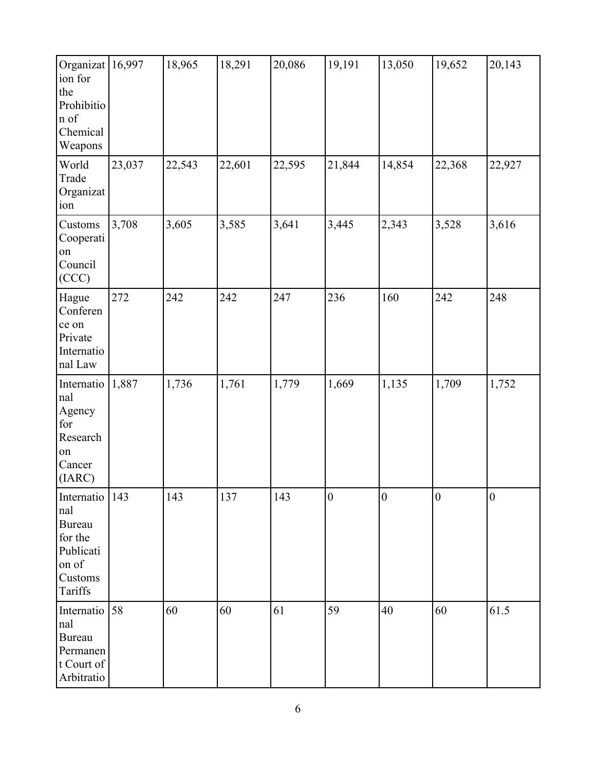| Organizat 16,997<br>ion for<br>the<br>Prohibitio<br>n of<br>Chemical<br>Weapons                 |        | 18,965 | 18,291 | 20,086 | 19,191           | 13,050           | 19,652          | 20,143           |
|-------------------------------------------------------------------------------------------------|--------|--------|--------|--------|------------------|------------------|-----------------|------------------|
| World<br>Trade<br>Organizat<br>ion                                                              | 23,037 | 22,543 | 22,601 | 22,595 | 21,844           | 14,854           | 22,368          | 22,927           |
| Customs<br>Cooperati<br>on<br>Council<br>(CCC)                                                  | 3,708  | 3,605  | 3,585  | 3,641  | 3,445            | 2,343            | 3,528           | 3,616            |
| Hague<br>Conferen<br>ce on<br>Private<br>Internatio<br>nal Law                                  | 272    | 242    | 242    | 247    | 236              | 160              | 242             | 248              |
| Internatio<br>nal<br>Agency<br>for<br>Research<br>on<br>Cancer<br>(IARC)                        | 1,887  | 1,736  | 1,761  | 1,779  | 1,669            | 1,135            | 1,709           | 1,752            |
| Internatio   143<br>nal<br><b>Bureau</b><br>for the<br>Publicati<br>on of<br>Customs<br>Tariffs |        | 143    | 137    | 143    | $\boldsymbol{0}$ | $\boldsymbol{0}$ | $\vert 0 \vert$ | $\boldsymbol{0}$ |
| Internatio<br>nal<br><b>Bureau</b><br>Permanen<br>t Court of<br>Arbitratio                      | 58     | 60     | 60     | 61     | 59               | 40               | 60              | 61.5             |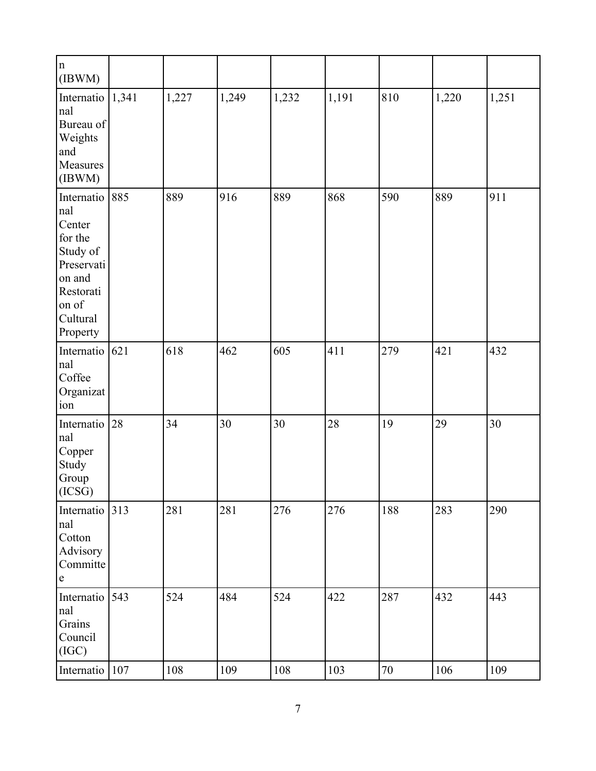| $\ln$<br>(IBWM)                                                                                                              |     |       |       |       |       |     |       |       |
|------------------------------------------------------------------------------------------------------------------------------|-----|-------|-------|-------|-------|-----|-------|-------|
| Internatio $ 1,341$<br>nal<br>Bureau of<br>Weights<br>and<br>Measures<br>(IBWM)                                              |     | 1,227 | 1,249 | 1,232 | 1,191 | 810 | 1,220 | 1,251 |
| Internatio 885<br>nal<br>Center<br>for the<br>Study of<br>Preservati<br>on and<br>Restorati<br>on of<br>Cultural<br>Property |     | 889   | 916   | 889   | 868   | 590 | 889   | 911   |
| Internatio $ 621$<br>nal<br>Coffee<br>Organizat<br>ion                                                                       |     | 618   | 462   | 605   | 411   | 279 | 421   | 432   |
| Internatio<br>nal<br>Copper<br>Study<br>Group<br>$\left  (ICSG) \right $                                                     | 28  | 34    | 30    | 30    | 28    | 19  | 29    | 30    |
| Internatio 313<br>nal<br>Cotton<br>Advisory<br>Committe<br>${\bf e}$                                                         |     | 281   | 281   | 276   | 276   | 188 | 283   | 290   |
| Internatio 543<br>nal<br>Grains<br>Council<br>(IGC)                                                                          |     | 524   | 484   | 524   | 422   | 287 | 432   | 443   |
| Internatio                                                                                                                   | 107 | 108   | 109   | 108   | 103   | 70  | 106   | 109   |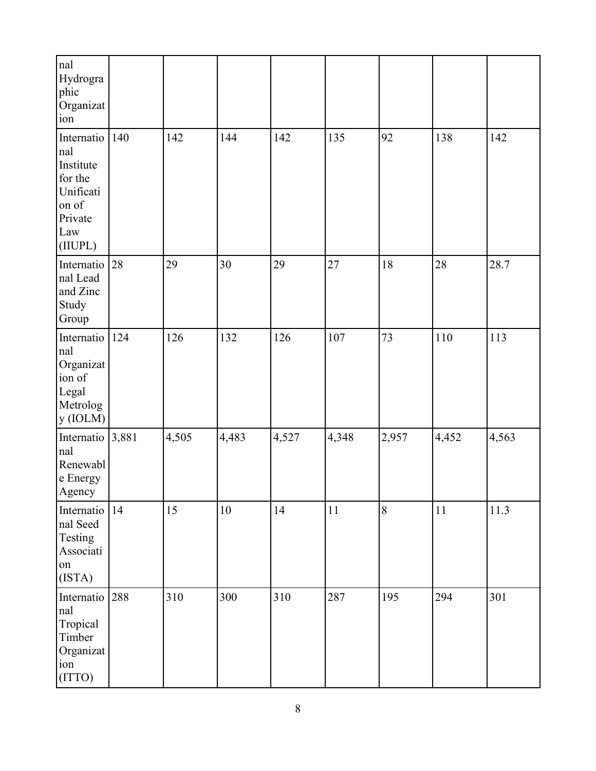| <sub>nal</sub><br>Hydrogra<br>phic<br>Organizat<br>ion                                        |     |       |        |       |       |       |        |       |
|-----------------------------------------------------------------------------------------------|-----|-------|--------|-------|-------|-------|--------|-------|
| Internatio<br>Inal<br>Institute<br>for the<br>Unificati<br>on of<br>Private<br>Law<br>(IIUPL) | 140 | 142   | 144    | 142   | 135   | 92    | 138    | 142   |
| Internatio<br>nal Lead<br>and Zinc<br>Study<br>Group                                          | 28  | 29    | 30     | 29    | 27    | 18    | 28     | 28.7  |
| Internatio<br>nal<br>Organizat<br>ion of<br>Legal<br>Metrolog<br>y(IOLM)                      | 124 | 126   | 132    | 126   | 107   | 73    | 110    | 113   |
| Internatio 3,881<br>nal<br>Renewabl<br>e Energy<br>Agency                                     |     | 4,505 | 4,483  | 4,527 | 4,348 | 2,957 | 4,452  | 4,563 |
| Internatio<br>nal Seed<br>Testing<br>Associati<br>on<br>(ISTA)                                | 14  | 15    | $10\,$ | 14    | 11    | 8     | $11\,$ | 11.3  |
| Internatio<br>nal<br>Tropical<br>Timber<br>Organizat<br>ion<br>(ITTO)                         | 288 | 310   | 300    | 310   | 287   | 195   | 294    | 301   |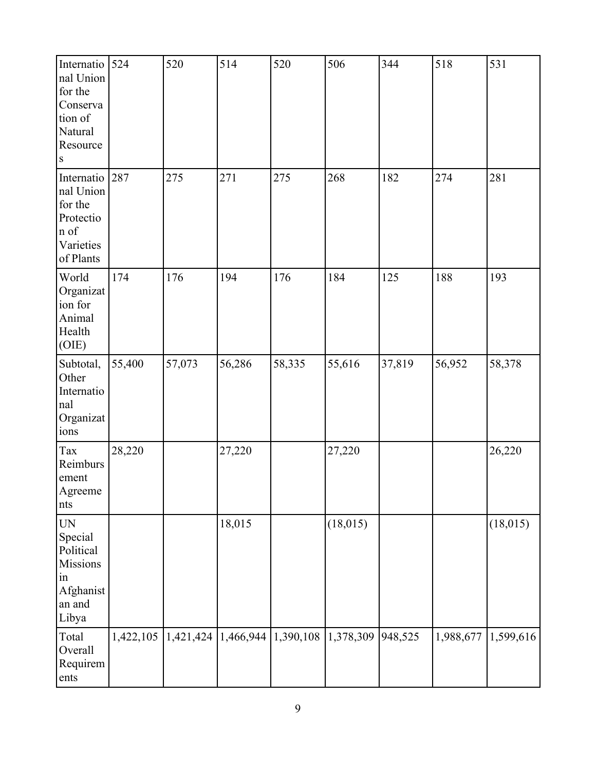| Internatio 524<br>nal Union<br>for the<br>Conserva<br>tion of<br>Natural<br>Resource<br> s |        | 520                                             | 514    | 520    | 506       | 344     | 518       | 531       |
|--------------------------------------------------------------------------------------------|--------|-------------------------------------------------|--------|--------|-----------|---------|-----------|-----------|
| Internatio<br>nal Union<br>for the<br>Protectio<br>n of<br>Varieties<br>of Plants          | 287    | 275                                             | 271    | 275    | 268       | 182     | 274       | 281       |
| World<br>Organizat<br>ion for<br>Animal<br>Health<br>(OIE)                                 | 174    | 176                                             | 194    | 176    | 184       | 125     | 188       | 193       |
| Subtotal,<br>Other<br>Internatio<br>nal<br>Organizat<br>ions                               | 55,400 | 57,073                                          | 56,286 | 58,335 | 55,616    | 37,819  | 56,952    | 58,378    |
| Tax<br>Reimburs<br>ement<br>Agreeme<br>nts                                                 | 28,220 |                                                 | 27,220 |        | 27,220    |         |           | 26,220    |
| <b>UN</b><br>Special<br>Political<br>Missions<br>$\sin$<br>Afghanist<br>an and<br>Libya    |        |                                                 | 18,015 |        | (18, 015) |         |           | (18, 015) |
| Total<br>Overall<br><b>Requirem</b><br>ents                                                |        | $1,422,105$   1,421,424   1,466,944   1,390,108 |        |        | 1,378,309 | 948,525 | 1,988,677 | 1,599,616 |